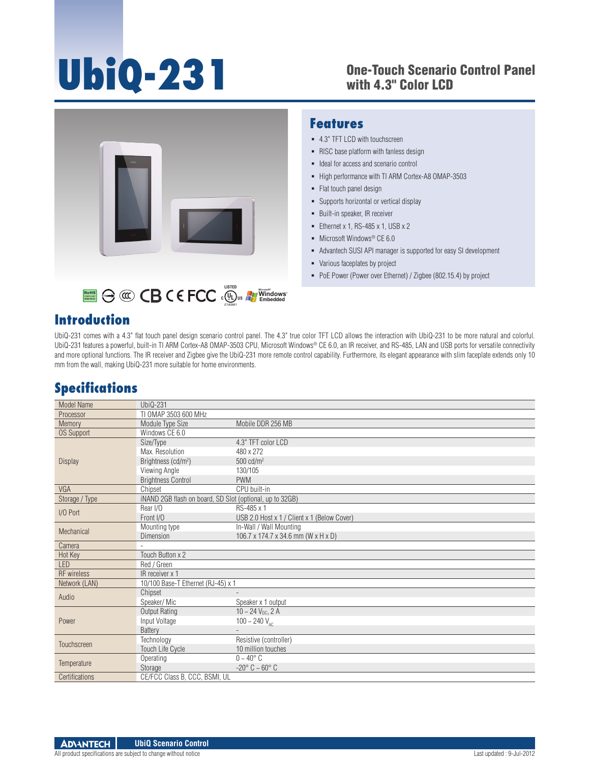# **UbiQ-231**

#### One-Touch Scenario Control Panel with 4.3" Color LCD



#### **Features**

- 4.3" TFT LCD with touchscreen
- RISC base platform with fanless design
- $\blacksquare$  Ideal for access and scenario control
- High performance with TI ARM Cortex-A8 OMAP-3503
- Flat touch panel design
- **Supports horizontal or vertical display**
- Built-in speaker, IR receiver
- Ethernet x 1, RS-485 x 1, USB  $x$  2
- Microsoft Windows<sup>®</sup> CE 6.0
- Advantech SUSI API manager is supported for easy SI development
- Various faceplates by project
- PoE Power (Power over Ethernet) / Zigbee (802.15.4) by project

#### **Introduction**

UbiQ-231 comes with a 4.3" flat touch panel design scenario control panel. The 4.3" true color TFT LCD allows the interaction with UbiQ-231 to be more natural and colorful. UbiQ-231 features a powerful, built-in TI ARM Cortex-A8 OMAP-3503 CPU, Microsoft Windows® CE 6.0, an IR receiver, and RS-485, LAN and USB ports for versatile connectivity and more optional functions. The IR receiver and Zigbee give the UbiQ-231 more remote control capability. Furthermore, its elegant appearance with slim faceplate extends only 10 mm from the wall, making UbiQ-231 more suitable for home environments.

### **Specifications**

| <b>Model Name</b>  | UbiQ-231                                                 |                                             |
|--------------------|----------------------------------------------------------|---------------------------------------------|
| Processor          | TI OMAP 3503 600 MHz                                     |                                             |
| Memory             | Module Type Size                                         | Mobile DDR 256 MB                           |
| <b>OS Support</b>  | Windows CE 6.0                                           |                                             |
| <b>Display</b>     | Size/Type                                                | 4.3" TFT color LCD                          |
|                    | Max. Resolution                                          | 480 x 272                                   |
|                    | Brightness (cd/m <sup>2</sup> )                          | $500 \text{ cd/m}^2$                        |
|                    | Viewing Angle                                            | 130/105                                     |
|                    | <b>Brightness Control</b>                                | <b>PWM</b>                                  |
| VGA                | Chipset                                                  | CPU built-in                                |
| Storage / Type     | iNAND 2GB flash on board, SD Slot (optional, up to 32GB) |                                             |
| I/O Port           | Rear I/O                                                 | RS-485 x 1                                  |
|                    | Front I/O                                                | USB 2.0 Host x 1 / Client x 1 (Below Cover) |
| Mechanical         | Mounting type                                            | In-Wall / Wall Mounting                     |
|                    | Dimension                                                | 106.7 x 174.7 x 34.6 mm (W x H x D)         |
| Camera             |                                                          |                                             |
| Hot Key            | Touch Button x 2                                         |                                             |
| LED                | Red / Green                                              |                                             |
| <b>RF</b> wireless | IR receiver x 1                                          |                                             |
| Network (LAN)      | 10/100 Base-T Ethernet (RJ-45) x 1                       |                                             |
| Audio              | Chipset                                                  |                                             |
|                    | Speaker/Mic                                              | Speaker x 1 output                          |
| Power              | Output Rating                                            | $10 - 24$ V <sub>DC</sub> , 2 A             |
|                    | Input Voltage                                            | 100 ~ 240 $V_{AC}$                          |
|                    | <b>Battery</b>                                           |                                             |
| Touchscreen        | Technology                                               | Resistive (controller)                      |
|                    | <b>Touch Life Cycle</b>                                  | 10 million touches                          |
| Temperature        | Operating                                                | $0 - 40^{\circ}$ C                          |
|                    | Storage                                                  | $-20^\circ$ C $\sim 60^\circ$ C             |
| Certifications     | CE/FCC Class B, CCC, BSMI, UL                            |                                             |